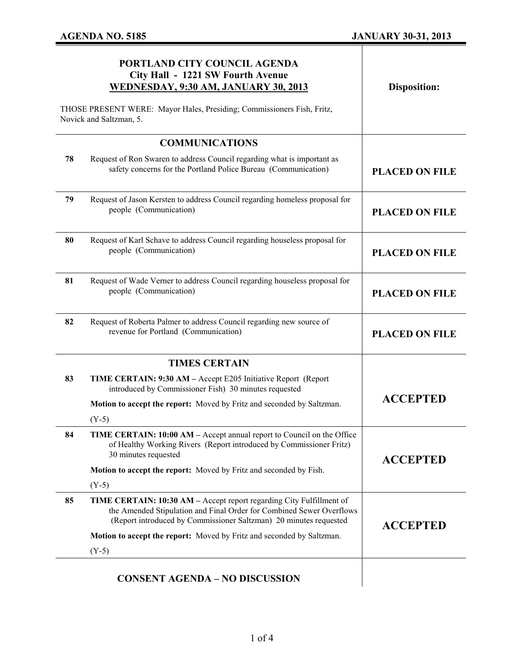$\mathbf{I}$ 

|                                                                                                   | PORTLAND CITY COUNCIL AGENDA<br>City Hall - 1221 SW Fourth Avenue<br>WEDNESDAY, 9:30 AM, JANUARY 30, 2013                                                                                                         | <b>Disposition:</b>   |
|---------------------------------------------------------------------------------------------------|-------------------------------------------------------------------------------------------------------------------------------------------------------------------------------------------------------------------|-----------------------|
| THOSE PRESENT WERE: Mayor Hales, Presiding; Commissioners Fish, Fritz,<br>Novick and Saltzman, 5. |                                                                                                                                                                                                                   |                       |
|                                                                                                   | <b>COMMUNICATIONS</b>                                                                                                                                                                                             |                       |
| 78                                                                                                | Request of Ron Swaren to address Council regarding what is important as<br>safety concerns for the Portland Police Bureau (Communication)                                                                         | <b>PLACED ON FILE</b> |
| 79                                                                                                | Request of Jason Kersten to address Council regarding homeless proposal for<br>people (Communication)                                                                                                             | <b>PLACED ON FILE</b> |
| 80                                                                                                | Request of Karl Schave to address Council regarding houseless proposal for<br>people (Communication)                                                                                                              | <b>PLACED ON FILE</b> |
| 81                                                                                                | Request of Wade Verner to address Council regarding houseless proposal for<br>people (Communication)                                                                                                              | <b>PLACED ON FILE</b> |
| 82                                                                                                | Request of Roberta Palmer to address Council regarding new source of<br>revenue for Portland (Communication)                                                                                                      | <b>PLACED ON FILE</b> |
|                                                                                                   | <b>TIMES CERTAIN</b>                                                                                                                                                                                              |                       |
| 83                                                                                                | TIME CERTAIN: 9:30 AM - Accept E205 Initiative Report (Report<br>introduced by Commissioner Fish) 30 minutes requested                                                                                            | <b>ACCEPTED</b>       |
|                                                                                                   | Motion to accept the report: Moved by Fritz and seconded by Saltzman.<br>$(Y-5)$                                                                                                                                  |                       |
| 84                                                                                                | TIME CERTAIN: 10:00 AM - Accept annual report to Council on the Office<br>of Healthy Working Rivers (Report introduced by Commissioner Fritz)<br>30 minutes requested                                             | <b>ACCEPTED</b>       |
|                                                                                                   | Motion to accept the report: Moved by Fritz and seconded by Fish.                                                                                                                                                 |                       |
|                                                                                                   | $(Y-5)$                                                                                                                                                                                                           |                       |
| 85                                                                                                | TIME CERTAIN: 10:30 AM - Accept report regarding City Fulfillment of<br>the Amended Stipulation and Final Order for Combined Sewer Overflows<br>(Report introduced by Commissioner Saltzman) 20 minutes requested | <b>ACCEPTED</b>       |
|                                                                                                   | Motion to accept the report: Moved by Fritz and seconded by Saltzman.                                                                                                                                             |                       |
|                                                                                                   | $(Y-5)$                                                                                                                                                                                                           |                       |
|                                                                                                   | <b>CONSENT AGENDA - NO DISCUSSION</b>                                                                                                                                                                             |                       |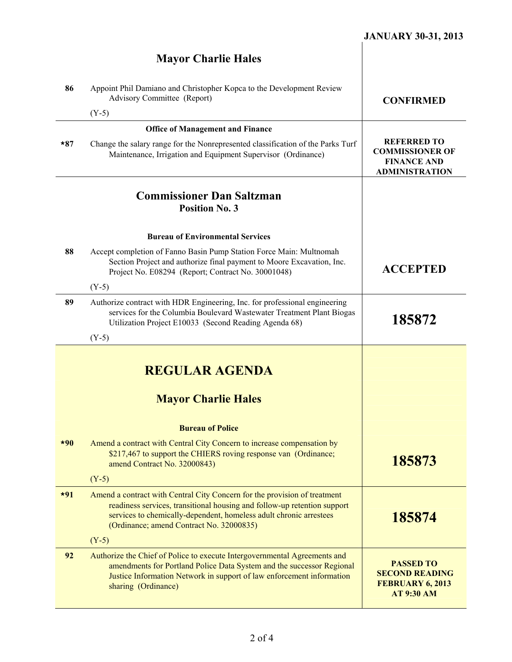## **Mayor Charlie Hales 86** Appoint Phil Damiano and Christopher Kopca to the Development Review Advisory Committee (Report) (Y-5) **CONFIRMED Office of Management and Finance \*87** Change the salary range for the Nonrepresented classification of the Parks Turf Maintenance, Irrigation and Equipment Supervisor (Ordinance) **REFERRED TO COMMISSIONER OF FINANCE AND ADMINISTRATION Commissioner Dan Saltzman Position No. 3 Bureau of Environmental Services 88** Accept completion of Fanno Basin Pump Station Force Main: Multnomah Section Project and authorize final payment to Moore Excavation, Inc. Project No. E08294 (Report; Contract No. 30001048) (Y-5) **ACCEPTED 89** Authorize contract with HDR Engineering, Inc. for professional engineering services for the Columbia Boulevard Wastewater Treatment Plant Biogas Utilization Project E10033 (Second Reading Agenda 68) (Y-5) **185872 REGULAR AGENDA Mayor Charlie Hales Bureau of Police \*90** Amend a contract with Central City Concern to increase compensation by \$217,467 to support the CHIERS roving response van (Ordinance; amend Contract No. 32000843)  $(Y-5)$ **185873 \*91** Amend a contract with Central City Concern for the provision of treatment readiness services, transitional housing and follow-up retention support services to chemically-dependent, homeless adult chronic arrestees (Ordinance; amend Contract No. 32000835)  $(Y-5)$ **185874 92** Authorize the Chief of Police to execute Intergovernmental Agreements and amendments for Portland Police Data System and the successor Regional Justice Information Network in support of law enforcement information sharing (Ordinance) **PASSED TO SECOND READING FEBRUARY 6, 2013 AT 9:30 AM**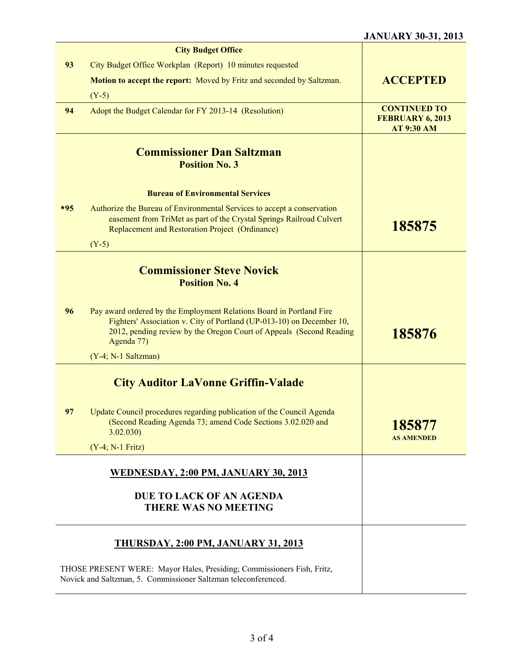## **JANUARY 30-31, 2013**

|       | <b>City Budget Office</b>                                                                                                                                                                                                          |                                                              |
|-------|------------------------------------------------------------------------------------------------------------------------------------------------------------------------------------------------------------------------------------|--------------------------------------------------------------|
| 93    | City Budget Office Workplan (Report) 10 minutes requested                                                                                                                                                                          |                                                              |
|       | <b>Motion to accept the report:</b> Moved by Fritz and seconded by Saltzman.                                                                                                                                                       | <b>ACCEPTED</b>                                              |
|       | $(Y-5)$                                                                                                                                                                                                                            |                                                              |
| 94    | Adopt the Budget Calendar for FY 2013-14 (Resolution)                                                                                                                                                                              | <b>CONTINUED TO</b><br>FEBRUARY 6, 2013<br><b>AT 9:30 AM</b> |
|       | <b>Commissioner Dan Saltzman</b><br><b>Position No. 3</b>                                                                                                                                                                          |                                                              |
|       | <b>Bureau of Environmental Services</b>                                                                                                                                                                                            |                                                              |
| $*95$ | Authorize the Bureau of Environmental Services to accept a conservation<br>easement from TriMet as part of the Crystal Springs Railroad Culvert<br>Replacement and Restoration Project (Ordinance)<br>$(Y-5)$                      | 185875                                                       |
|       |                                                                                                                                                                                                                                    |                                                              |
|       | <b>Commissioner Steve Novick</b><br><b>Position No. 4</b>                                                                                                                                                                          |                                                              |
| 96    | Pay award ordered by the Employment Relations Board in Portland Fire<br>Fighters' Association v. City of Portland (UP-013-10) on December 10,<br>2012, pending review by the Oregon Court of Appeals (Second Reading<br>Agenda 77) | 185876                                                       |
|       | (Y-4; N-1 Saltzman)                                                                                                                                                                                                                |                                                              |
|       | <b>City Auditor LaVonne Griffin-Valade</b>                                                                                                                                                                                         |                                                              |
| 97    | Update Council procedures regarding publication of the Council Agenda<br>(Second Reading Agenda 73; amend Code Sections 3.02.020 and<br>3.02.030                                                                                   | 185877<br><b>AS AMENDED</b>                                  |
|       | $(Y-4; N-1$ Fritz)                                                                                                                                                                                                                 |                                                              |
|       | WEDNESDAY, 2:00 PM, JANUARY 30, 2013                                                                                                                                                                                               |                                                              |
|       | DUE TO LACK OF AN AGENDA<br><b>THERE WAS NO MEETING</b>                                                                                                                                                                            |                                                              |
|       | <u>THURSDAY, 2:00 PM, JANUARY 31, 2013</u>                                                                                                                                                                                         |                                                              |
|       | THOSE PRESENT WERE: Mayor Hales, Presiding; Commissioners Fish, Fritz,<br>Novick and Saltzman, 5. Commissioner Saltzman teleconferenced.                                                                                           |                                                              |